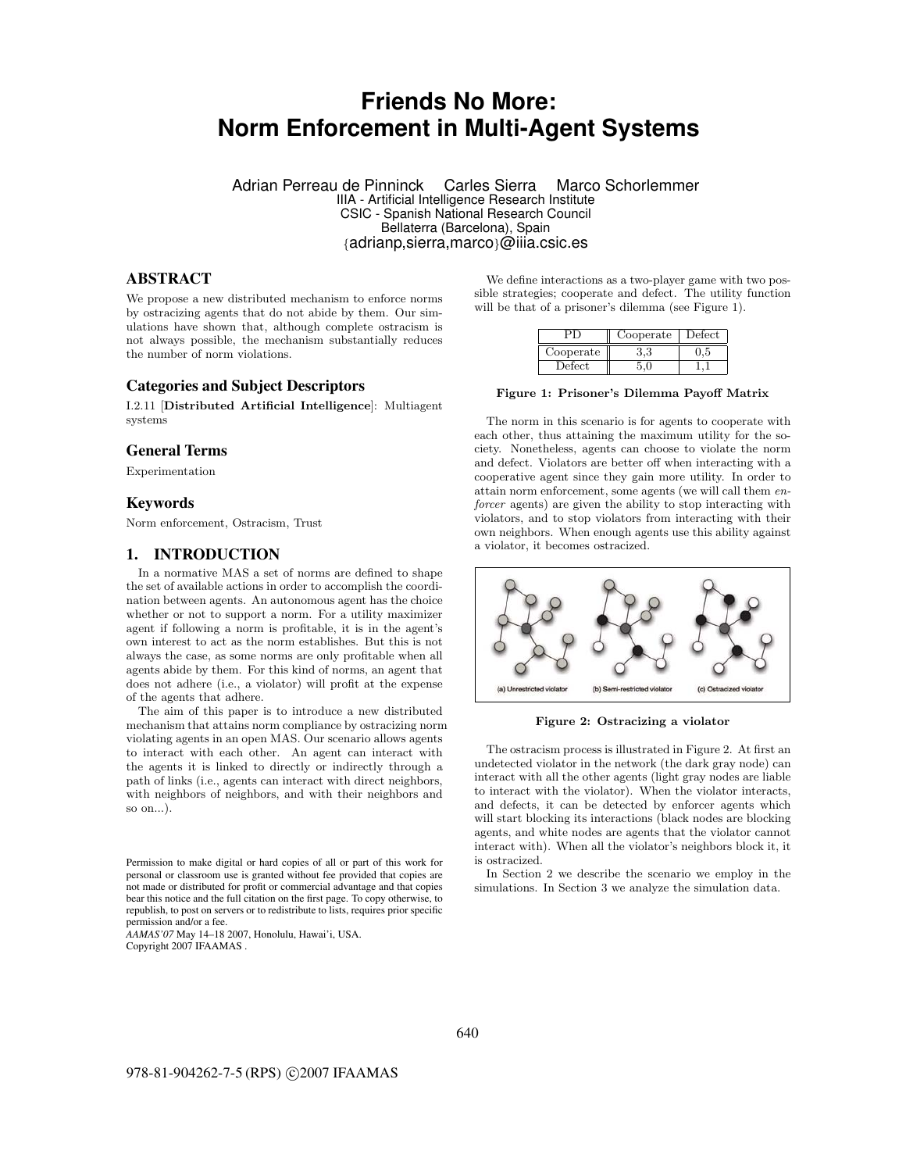# Friends No More: Norm Enforcement in Multi-Agent Systems

Adrian Perreau de Pinninck Carles Sierra Marco Schorlemmer IIIA - Artificial Intelligence Research Institute CSIC - Spanish National Research Council Bellaterra (Barcelona), Spain {adrianp,sierra,marco}@iiia.csic.es

# ABSTRACT

We propose a new distributed mechanism to enforce norms by ostracizing agents that do not abide by them. Our simulations have shown that, although complete ostracism is not always possible, the mechanism substantially reduces the number of norm violations.

#### Categories and Subject Descriptors

I.2.11 [**Distributed Artificial Intelligence**]: Multiagent systems

# General Terms

Experimentation

#### Keywords

Norm enforcement, Ostracism, Trust

### 1. INTRODUCTION

In a normative MAS a set of norms are defined to shape the set of available actions in order to accomplish the coordination between agents. An autonomous agent has the choice whether or not to support a norm. For a utility maximizer agent if following a norm is profitable, it is in the agent's own interest to act as the norm establishes. But this is not always the case, as some norms are only profitable when all agents abide by them. For this kind of norms, an agent that does not adhere (i.e., a violator) will profit at the expense of the agents that adhere.

The aim of this paper is to introduce a new distributed mechanism that attains norm compliance by ostracizing norm violating agents in an open MAS. Our scenario allows agents to interact with each other. An agent can interact with the agents it is linked to directly or indirectly through a path of links (i.e., agents can interact with direct neighbors, with neighbors of neighbors, and with their neighbors and so on...).

AAMAS'07 May 14–18 2007, Honolulu, Hawai'i, USA. Copyright 2007 IFAAMAS .

We define interactions as a two-player game with two possible strategies; cooperate and defect. The utility function will be that of a prisoner's dilemma (see Figure 1).

| РD        | Cooperate | Defect |
|-----------|-----------|--------|
| Cooperate | 3.3       | 0.5    |
| Defect    | 5.0       |        |

**Figure 1: Prisoner's Dilemma Payoff Matrix**

The norm in this scenario is for agents to cooperate with each other, thus attaining the maximum utility for the society. Nonetheless, agents can choose to violate the norm and defect. Violators are better off when interacting with a cooperative agent since they gain more utility. In order to attain norm enforcement, some agents (we will call them enforcer agents) are given the ability to stop interacting with violators, and to stop violators from interacting with their own neighbors. When enough agents use this ability against a violator, it becomes ostracized.



**Figure 2: Ostracizing a violator**

The ostracism process is illustrated in Figure 2. At first an undetected violator in the network (the dark gray node) can interact with all the other agents (light gray nodes are liable to interact with the violator). When the violator interacts, and defects, it can be detected by enforcer agents which will start blocking its interactions (black nodes are blocking agents, and white nodes are agents that the violator cannot interact with). When all the violator's neighbors block it, it is ostracized.

In Section 2 we describe the scenario we employ in the simulations. In Section 3 we analyze the simulation data.

Permission to make digital or hard copies of all or part of this work for personal or classroom use is granted without fee provided that copies are not made or distributed for profit or commercial advantage and that copies bear this notice and the full citation on the first page. To copy otherwise, to republish, to post on servers or to redistribute to lists, requires prior specific permission and/or a fee.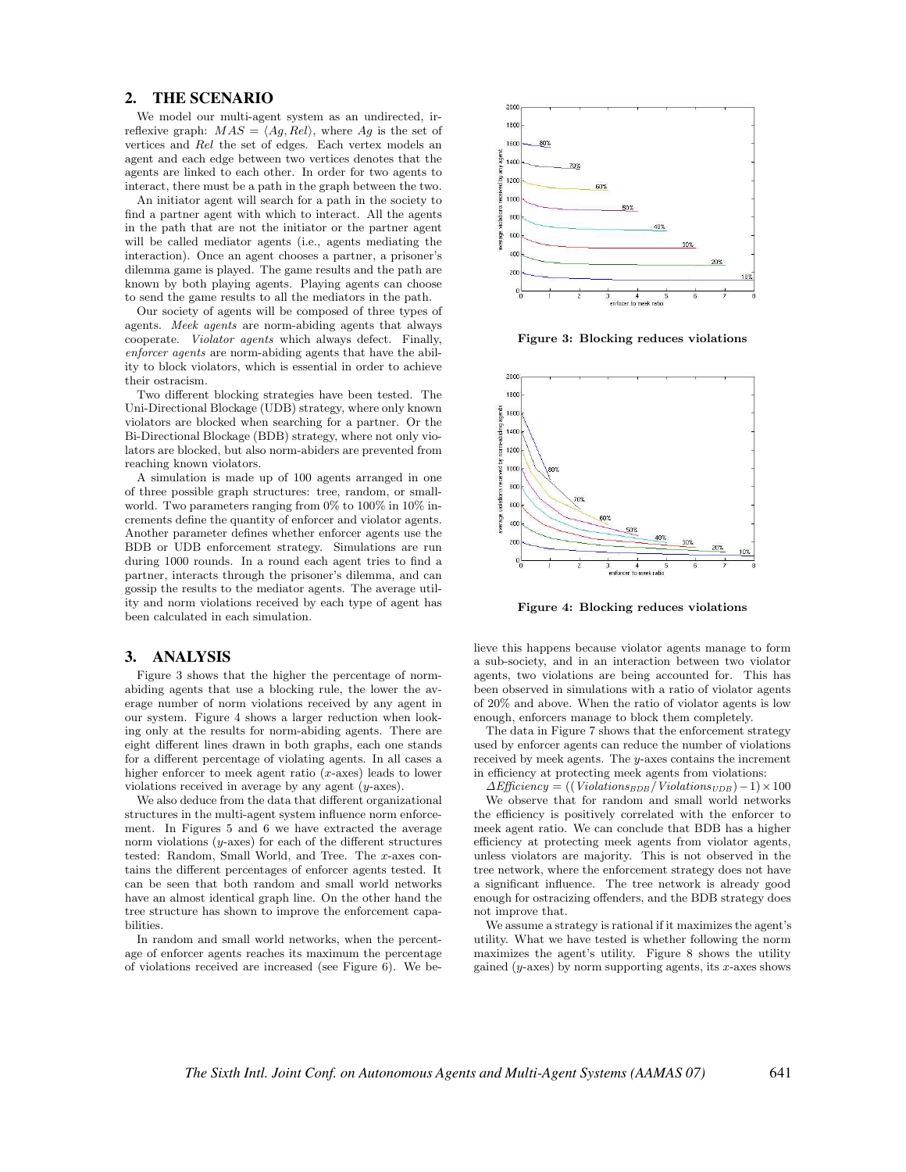## 2. THE SCENARIO

We model our multi-agent system as an undirected, irreflexive graph:  $MAS = \langle Ag, Rel \rangle$ , where  $Ag$  is the set of  $edges$ . Each vertex models an vertices and Rel the set of edges. Each vertex models an agent and each edge between two vertices denotes that the agents are linked to each other. In order for two agents to interact, there must be a path in the graph between the two.

An initiator agent will search for a path in the society to find a partner agent with which to interact. All the agents in the path that are not the initiator or the partner agent will be called mediator agents (i.e., agents mediating the interaction). Once an agent chooses a partner, a prisoner's dilemma game is played. The game results and the path are known by both playing agents. Playing agents can choose to send the game results to all the mediators in the path.

Our society of agents will be composed of three types of agents. Meek agents are norm-abiding agents that always cooperate. Violator agents which always defect. Finally, enforcer agents are norm-abiding agents that have the ability to block violators, which is essential in order to achieve their ostracism.

Two different blocking strategies have been tested. The Uni-Directional Blockage (UDB) strategy, where only known violators are blocked when searching for a partner. Or the Bi-Directional Blockage (BDB) strategy, where not only violators are blocked, but also norm-abiders are prevented from reaching known violators.

A simulation is made up of 100 agents arranged in one of three possible graph structures: tree, random, or smallworld. Two parameters ranging from 0% to 100% in 10% increments define the quantity of enforcer and violator agents. Another parameter defines whether enforcer agents use the BDB or UDB enforcement strategy. Simulations are run during 1000 rounds. In a round each agent tries to find a partner, interacts through the prisoner's dilemma, and can gossip the results to the mediator agents. The average utility and norm violations received by each type of agent has been calculated in each simulation.

## 3. ANALYSIS

Figure 3 shows that the higher the percentage of normabiding agents that use a blocking rule, the lower the average number of norm violations received by any agent in our system. Figure 4 shows a larger reduction when looking only at the results for norm-abiding agents. There are eight different lines drawn in both graphs, each one stands for a different percentage of violating agents. In all cases a higher enforcer to meek agent ratio (x-axes) leads to lower violations received in average by any agent  $(y\text{-axes})$ .

We also deduce from the data that different organizational structures in the multi-agent system influence norm enforcement. In Figures 5 and 6 we have extracted the average norm violations  $(y\text{-axes})$  for each of the different structures tested: Random, Small World, and Tree. The x-axes contains the different percentages of enforcer agents tested. It can be seen that both random and small world networks have an almost identical graph line. On the other hand the tree structure has shown to improve the enforcement capabilities.

In random and small world networks, when the percentage of enforcer agents reaches its maximum the percentage of violations received are increased (see Figure 6). We be-



**Figure 3: Blocking reduces violations**



**Figure 4: Blocking reduces violations**

lieve this happens because violator agents manage to form a sub-society, and in an interaction between two violator agents, two violations are being accounted for. This has been observed in simulations with a ratio of violator agents of 20% and above. When the ratio of violator agents is low enough, enforcers manage to block them completely.

The data in Figure 7 shows that the enforcement strategy used by enforcer agents can reduce the number of violations received by meek agents. The  $y$ -axes contains the increment in efficiency at protecting meek agents from violations:

 $\Delta \textit{Efficiency} = ((\textit{Violutions}_{\textit{BDB}} / \textit{Violutions}_{\textit{UDB}}) - 1) \times 100$ We observe that for random and small world networks the efficiency is positively correlated with the enforcer to meek agent ratio. We can conclude that BDB has a higher efficiency at protecting meek agents from violator agents, unless violators are majority. This is not observed in the tree network, where the enforcement strategy does not have a significant influence. The tree network is already good enough for ostracizing offenders, and the BDB strategy does not improve that.

We assume a strategy is rational if it maximizes the agent's utility. What we have tested is whether following the norm maximizes the agent's utility. Figure 8 shows the utility gained  $(y$ -axes) by norm supporting agents, its  $x$ -axes shows